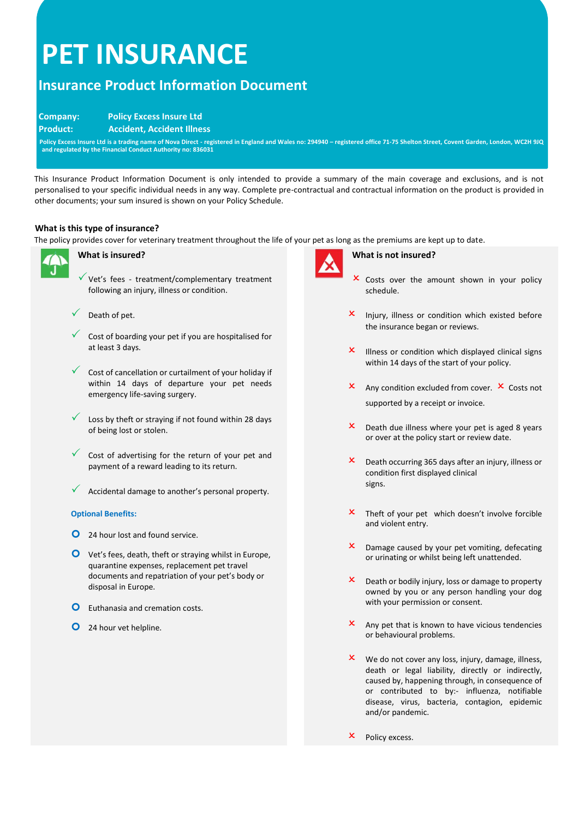# **PET INSURANCE**

# **Insurance Product Information Document**

# **Company: Policy Excess Insure Ltd**

 **Product: Accident, Accident Illness**

 **Policy Excess Insure Ltd is a trading name of Nova Direct - registered in England and Wales no: 294940 – registered office 71-75 Shelton Street, Covent Garden, London, WC2H 9JQ and regulated by the Financial Conduct Authority no: 836031**

This Insurance Product Information Document is only intended to provide a summary of the main coverage and exclusions, and is not personalised to your specific individual needs in any way. Complete pre-contractual and contractual information on the product is provided in other documents; your sum insured is shown on your Policy Schedule.

# **What is this type of insurance?**

The policy provides cover for veterinary treatment throughout the life of your pet as long as the premiums are kept up to date.



# **What is insured?**

 $\checkmark$  Vet's fees - treatment/complementary treatment following an injury, illness or condition.



- Cost of boarding your pet if you are hospitalised for at least 3 days.
- Cost of cancellation or curtailment of your holiday if within 14 days of departure your pet needs emergency life-saving surgery.
- Loss by theft or straying if not found within 28 days of being lost or stolen.
- $\checkmark$  Cost of advertising for the return of your pet and payment of a reward leading to its return.
- Accidental damage to another's personal property.

# **Optional Benefits:**

- **O** 24 hour lost and found service.
- Vet's fees, death, theft or straying whilst in Europe, quarantine expenses, replacement pet travel documents and repatriation of your pet's body or disposal in Europe.
- **O** Euthanasia and cremation costs.
- **O** 24 hour vet helpline.



#### **What is not insured?**

- **x** Costs over the amount shown in your policy schedule.
- $x$  Injury, illness or condition which existed before the insurance began or reviews.
- $\mathsf{\times}$  Illness or condition which displayed clinical signs within 14 days of the start of your policy.
- $\mathsf{x}$  Any condition excluded from cover.  $\mathsf{x}$  Costs not supported by a receipt or invoice.
- $x$  Death due illness where your pet is aged 8 years or over at the policy start or review date.
- $\mathsf{x}$  Death occurring 365 days after an injury, illness or condition first displayed clinical signs.
- $\mathsf{\times}$  Theft of your pet which doesn't involve forcible and violent entry.
- $\mathsf{\times}\quad$  Damage caused by your pet vomiting, defecating or urinating or whilst being left unattended.
- $\mathsf{x}$  Death or bodily injury, loss or damage to property owned by you or any person handling your dog with your permission or consent.
- $x$  Any pet that is known to have vicious tendencies or behavioural problems.
- $x$  We do not cover any loss, injury, damage, illness, death or legal liability, directly or indirectly, caused by, happening through, in consequence of or contributed to by:- influenza, notifiable disease, virus, bacteria, contagion, epidemic and/or pandemic.
- Policy excess.